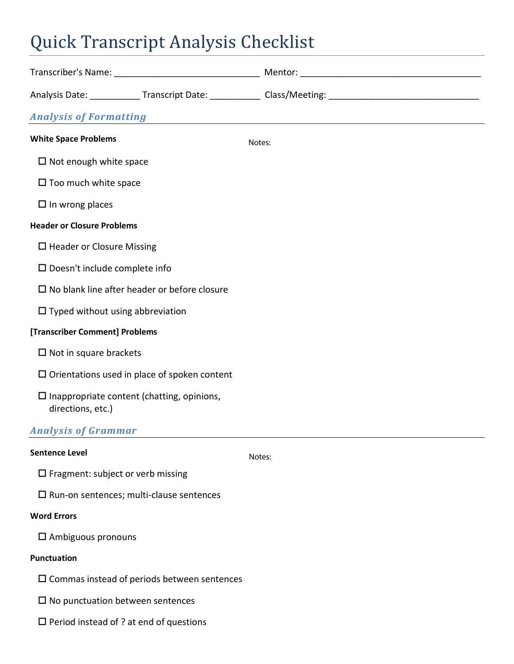# Quick Transcript Analysis Checklist

| <b>Analysis of Formatting</b>                                             |  | <u> 1989 - Johann John Stein, markin film fan it fjort fan de ferstjer fan it fjort fan de ferstjer fan de ferstj</u> |  |
|---------------------------------------------------------------------------|--|-----------------------------------------------------------------------------------------------------------------------|--|
| <b>White Space Problems</b>                                               |  | Notes:                                                                                                                |  |
| $\Box$ Not enough white space                                             |  |                                                                                                                       |  |
| $\square$ Too much white space                                            |  |                                                                                                                       |  |
| $\square$ In wrong places                                                 |  |                                                                                                                       |  |
| <b>Header or Closure Problems</b>                                         |  |                                                                                                                       |  |
| $\Box$ Header or Closure Missing                                          |  |                                                                                                                       |  |
| $\square$ Doesn't include complete info                                   |  |                                                                                                                       |  |
| $\square$ No blank line after header or before closure                    |  |                                                                                                                       |  |
| $\Box$ Typed without using abbreviation                                   |  |                                                                                                                       |  |
| [Transcriber Comment] Problems                                            |  |                                                                                                                       |  |
| $\Box$ Not in square brackets                                             |  |                                                                                                                       |  |
| $\square$ Orientations used in place of spoken content                    |  |                                                                                                                       |  |
| $\square$ Inappropriate content (chatting, opinions,<br>directions, etc.) |  |                                                                                                                       |  |
| <b>Analysis of Grammar</b>                                                |  |                                                                                                                       |  |
| <b>Sentence Level</b>                                                     |  | Notes:                                                                                                                |  |
| $\square$ Fragment: subject or verb missing                               |  |                                                                                                                       |  |

 $\square$  Run-on sentences; multi-clause sentences

#### **Word Errors**

Ambiguous pronouns

#### **Punctuation**

- $\square$  Commas instead of periods between sentences
- $\square$  No punctuation between sentences
- $\square$  Period instead of ? at end of questions